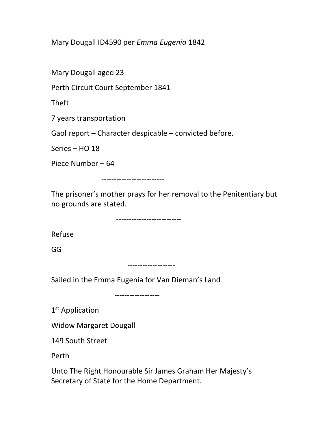Mary Dougall ID4590 per Emma Eugenia 1842

Mary Dougall aged 23

Perth Circuit Court September 1841

Theft

7 years transportation

Gaol report – Character despicable – convicted before.

Series – HO 18

Piece Number – 64

-------------------------

The prisoner's mother prays for her removal to the Penitentiary but no grounds are stated.

--------------------------

Refuse

GG

-------------------

Sailed in the Emma Eugenia for Van Dieman's Land

------------------

1<sup>st</sup> Application

Widow Margaret Dougall

149 South Street

Perth

Unto The Right Honourable Sir James Graham Her Majesty's Secretary of State for the Home Department.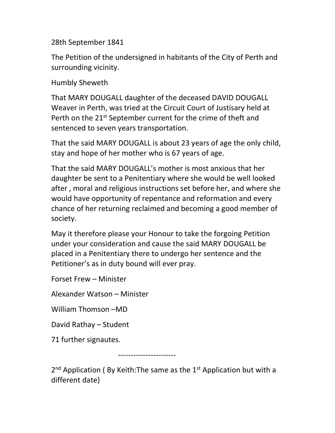28th September 1841

The Petition of the undersigned in habitants of the City of Perth and surrounding vicinity.

Humbly Sheweth

That MARY DOUGALL daughter of the deceased DAVID DOUGALL Weaver in Perth, was tried at the Circuit Court of Justisary held at Perth on the 21<sup>st</sup> September current for the crime of theft and sentenced to seven years transportation.

That the said MARY DOUGALL is about 23 years of age the only child, stay and hope of her mother who is 67 years of age.

That the said MARY DOUGALL's mother is most anxious that her daughter be sent to a Penitentiary where she would be well looked after , moral and religious instructions set before her, and where she would have opportunity of repentance and reformation and every chance of her returning reclaimed and becoming a good member of society.

May it therefore please your Honour to take the forgoing Petition under your consideration and cause the said MARY DOUGALL be placed in a Penitentiary there to undergo her sentence and the Petitioner's as in duty bound will ever pray.

Forset Frew – Minister

Alexander Watson – Minister

William Thomson –MD

David Rathay – Student

71 further signautes.

-----------------------

2<sup>nd</sup> Application (By Keith: The same as the 1<sup>st</sup> Application but with a different date)